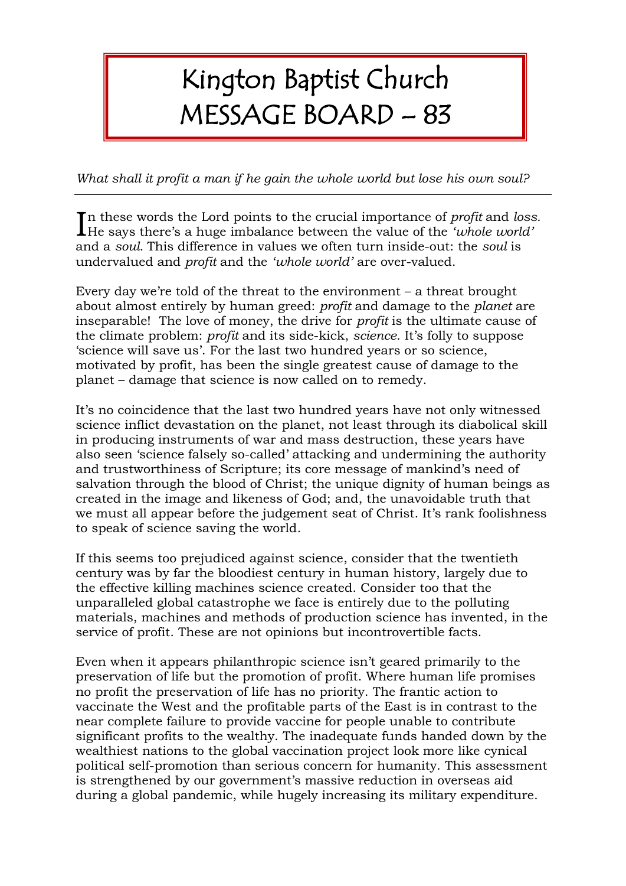## Kington Baptist Church MESSAGE BOARD – 83

*What shall it profit a man if he gain the whole world but lose his own soul?*

n these words the Lord points to the crucial importance of *profit* and *loss.* In these words the Lord points to the crucial importance of *profit* and *loss*. He says there's a huge imbalance between the value of the *'whole world'* and a *soul.* This difference in values we often turn inside-out: the *soul* is undervalued and *profit* and the *'whole world'* are over-valued.

Every day we're told of the threat to the environment – a threat brought about almost entirely by human greed: *profit* and damage to the *planet* are inseparable! The love of money, the drive for *profit* is the ultimate cause of the climate problem: *profit* and its side-kick, *science*. It's folly to suppose 'science will save us'. For the last two hundred years or so science, motivated by profit, has been the single greatest cause of damage to the planet – damage that science is now called on to remedy.

It's no coincidence that the last two hundred years have not only witnessed science inflict devastation on the planet, not least through its diabolical skill in producing instruments of war and mass destruction, these years have also seen 'science falsely so-called' attacking and undermining the authority and trustworthiness of Scripture; its core message of mankind's need of salvation through the blood of Christ; the unique dignity of human beings as created in the image and likeness of God; and, the unavoidable truth that we must all appear before the judgement seat of Christ. It's rank foolishness to speak of science saving the world.

If this seems too prejudiced against science, consider that the twentieth century was by far the bloodiest century in human history, largely due to the effective killing machines science created. Consider too that the unparalleled global catastrophe we face is entirely due to the polluting materials, machines and methods of production science has invented, in the service of profit. These are not opinions but incontrovertible facts.

Even when it appears philanthropic science isn't geared primarily to the preservation of life but the promotion of profit. Where human life promises no profit the preservation of life has no priority. The frantic action to vaccinate the West and the profitable parts of the East is in contrast to the near complete failure to provide vaccine for people unable to contribute significant profits to the wealthy. The inadequate funds handed down by the wealthiest nations to the global vaccination project look more like cynical political self-promotion than serious concern for humanity. This assessment is strengthened by our government's massive reduction in overseas aid during a global pandemic, while hugely increasing its military expenditure.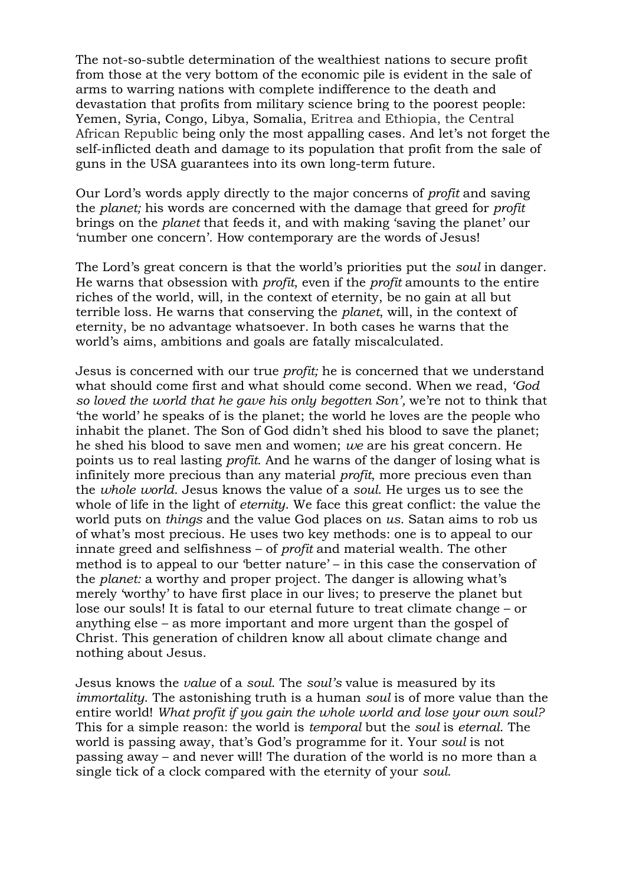The not-so-subtle determination of the wealthiest nations to secure profit from those at the very bottom of the economic pile is evident in the sale of arms to warring nations with complete indifference to the death and devastation that profits from military science bring to the poorest people: Yemen, Syria, Congo, Libya, Somalia, Eritrea and Ethiopia, the Central African Republic being only the most appalling cases. And let's not forget the self-inflicted death and damage to its population that profit from the sale of guns in the USA guarantees into its own long-term future.

Our Lord's words apply directly to the major concerns of *profit* and saving the *planet;* his words are concerned with the damage that greed for *profit* brings on the *planet* that feeds it, and with making 'saving the planet' our 'number one concern'. How contemporary are the words of Jesus!

The Lord's great concern is that the world's priorities put the *soul* in danger. He warns that obsession with *profit*, even if the *profit* amounts to the entire riches of the world, will, in the context of eternity, be no gain at all but terrible loss. He warns that conserving the *planet*, will, in the context of eternity, be no advantage whatsoever. In both cases he warns that the world's aims, ambitions and goals are fatally miscalculated.

Jesus is concerned with our true *profit;* he is concerned that we understand what should come first and what should come second. When we read, *'God so loved the world that he gave his only begotten Son',* we're not to think that 'the world' he speaks of is the planet; the world he loves are the people who inhabit the planet. The Son of God didn't shed his blood to save the planet; he shed his blood to save men and women; *we* are his great concern. He points us to real lasting *profit*. And he warns of the danger of losing what is infinitely more precious than any material *profit*, more precious even than the *whole world*. Jesus knows the value of a *soul*. He urges us to see the whole of life in the light of *eternity*. We face this great conflict: the value the world puts on *things* and the value God places on *us*. Satan aims to rob us of what's most precious. He uses two key methods: one is to appeal to our innate greed and selfishness – of *profit* and material wealth. The other method is to appeal to our 'better nature' – in this case the conservation of the *planet:* a worthy and proper project. The danger is allowing what's merely 'worthy' to have first place in our lives; to preserve the planet but lose our souls! It is fatal to our eternal future to treat climate change – or anything else – as more important and more urgent than the gospel of Christ. This generation of children know all about climate change and nothing about Jesus.

Jesus knows the *value* of a *soul*. The *soul's* value is measured by its *immortality*. The astonishing truth is a human *soul* is of more value than the entire world! *What profit if you gain the whole world and lose your own soul?* This for a simple reason: the world is *temporal* but the *soul* is *eternal*. The world is passing away, that's God's programme for it. Your *soul* is not passing away – and never will! The duration of the world is no more than a single tick of a clock compared with the eternity of your *soul*.